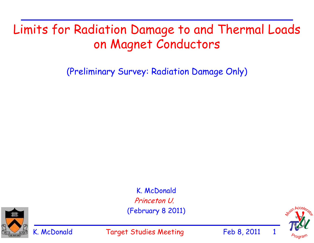# Limits for Radiation Damage to and Thermal Loads on Magnet Conductors

(Preliminary Survey: Radiation Damage Only)

K. McDonald Princeton U. (February 8 2011)



K. McDonald Target Studies Meeting Feb 8, 2011

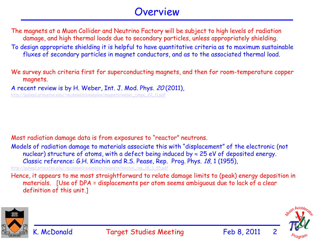#### Overview

The magnets at a Muon Collider and Neutrino Factory will be subject to high levels of radiation damage, and high thermal loads due to secondary particles, unless appropriately shielding. To design appropriate shielding it is helpful to have quantitative criteria as to maximum sustainable fluxes of secondary particles in magnet conductors, and as to the associated thermal load.

We survey such criteria first for superconducting magnets, and then for room-temperature copper magnets.

A recent review is by H. Weber, Int. J. Mod. Phys. 20 (2011),

http://puhep1.princeton.edu/~mcdonald/examples/magnets/weber\_ijmpe\_20\_11.pdf

Most radiation damage data is from exposures to "reactor" neutrons.

Models of radiation damage to materials associate this with "displacement" of the electronic (not nuclear) structure of atoms, with a defect being induced by  $\approx 25$  eV of deposited energy. Classic reference: G.H. Kinchin and R.S. Pease, Rep. Prog. Phys. 18, 1 (1955),

http://puhep1.princeton.edu/~mcdonald/examples/magnets/kinchin\_rpp\_18\_1\_55.pdf

Hence, it appears to me most straightforward to relate damage limits to (peak) energy deposition in materials. [Use of DPA = displacements per atom seems ambiguous due to lack of a clear definition of this unit.]



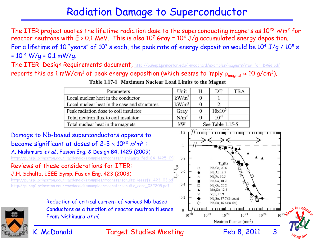### Radiation Damage to Superconductor

The ITER project quotes the lifetime radiation dose to the superconducting magnets as 10<sup>22</sup> n/m<sup>2</sup> for reactor neutrons with  $E > 0.1$  MeV. This is also 10<sup>7</sup> Gray = 10<sup>4</sup> J/g accumulated energy deposition. For a lifetime of 10 "years" of  $10^7$  s each, the peak rate of energy deposition would be  $10^4$  J/g /  $10^8$  s  $= 10^{-4}$  W/g = 0.1 mW/g.

The ITER Design Requirements document, http://puhep1.princeton.edu/~mcdonald/examples/magnets/iter\_fdr\_DRG1.pdf reports this as 1 mW/cm<sup>3</sup> of peak energy deposition (which seems to imply  $\rho_{\text{maanet}} \approx 10 \text{ g/cm}^3$ ).



Table 1.17-1 Maximum Nuclear Load Limits to the Magnet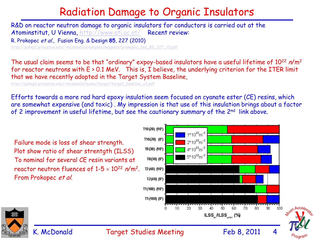### Radiation Damage to Organic Insulators

R&D on reactor neutron damage to organic insulators for conductors is carried out at the Atominstitut, U Vienna, http://www.ati.ac.at/ Recent review:

R. Prokopec et al., Fusion Eng. & Design **85**, 227 (2010)

http://puhep1.princeton.edu/~mcdonald/examples/magnets/prokopec\_fed\_85\_227\_10.pdf

The usual claim seems to be that "ordinary" expoy-based insulators have a useful lifetime of 10<sup>22</sup> n/m<sup>2</sup> for reactor neutrons with  $E > 0.1$  MeV. This is, I believe, the underlying criterion for the ITER limit that we have recently adopted in the Target System Baseline,

http://puhep1.princeton.edu/~mcdonald/mumu/target/target\_baseline\_v3.pdf

Efforts towards a more rad hard epoxy insulation seem focused on cyanate ester (CE) resins, which are somewhat expensive (and toxic) . My impression is that use of this insulation brings about a factor of 2 improvement in useful lifetime, but see the cautionary summary of the 2<sup>nd</sup> link above.

Failure mode is loss of shear strength. Plot show ratio of shear strentgth (ILSS) To nominal for several CE resin variants at reactor neutron fluences of  $1-5 \times 10^{22}$  n/m<sup>2</sup>. From Prokopec et al.





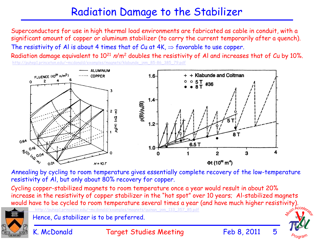## Radiation Damage to the Stabilizer

Superconductors for use in high thermal load environments are fabricated as cable in conduit, with a significant amount of copper or aluminum stabilizer (to carry the current temporarily after a quench). The resistivity of Al is about 4 times that of Cu at  $4K \Rightarrow$  favorable to use copper.

Radiation damage equivalent to 10<sup>21</sup> n/m<sup>2</sup> doubles the resistivity of Al and increases that of Cu by 10%. http://puhep1.princeton.edu/~mcdonald/examples/magnets/klabunde\_jnm\_85-86\_385\_79.pdf



Annealing by cycling to room temperature gives essentially complete recovery of the low-temperature resistivity of Al, but only about 80% recovery for copper.

Cycling copper-stabilized magnets to room temperature once a year would result in about 20% increase in the resistivity of copper stabilizer in the "hot spot" over 10 years; Al-stabilized magnets would have to be cycled to room temperature several times a year (and have much higher resistivity).



Hence, Cu stabilizer is to be preferred.

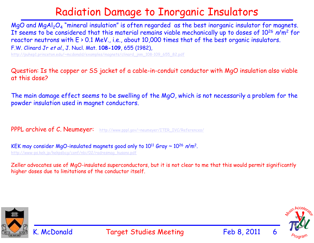## Radiation Damage to Inorganic Insulators

MgO and MgAl $_2\rm O_4$  "mineral insulation" is often regarded as the best inorganic insulator for magnets. It seems to be considered that this material remains viable mechanically up to doses of 10<sup>26</sup> n/m<sup>2</sup> for reactor neutrons with  $E > 0.1$  MeV., i.e., about 10,000 times that of the best organic insulators. F.W. Clinard Jr et al., J. Nucl. Mat. **108-109**, 655 (1982),

http://puhep1.princeton.edu/~mcdonald/examples/magnets/clinard\_jnm\_108-109\_655\_82.pdf

Question: Is the copper or SS jacket of a cable-in-conduit conductor with MgO insulation also viable at this dose?

The main damage effect seems to be swelling of the MgO, which is not necessarily a problem for the powder insulation used in magnet conductors.

PPPL archive of C. Neumeyer: http://www.pppl.gov/~neumeyer/ITER\_IVC/References/

KEK may consider MgO-insulated magnets good only to  $10^{11}$  Gray  $\sim 10^{26}$  n/m<sup>2</sup>. http://www-ps.kek.jp/kekpsbcg/conf/nbi/02/radresmag\_kusano.pdf

Zeller advocates use of MgO-insulated superconductors, but it is not clear to me that this would permit significantly higher doses due to limitations of the conductor itself.